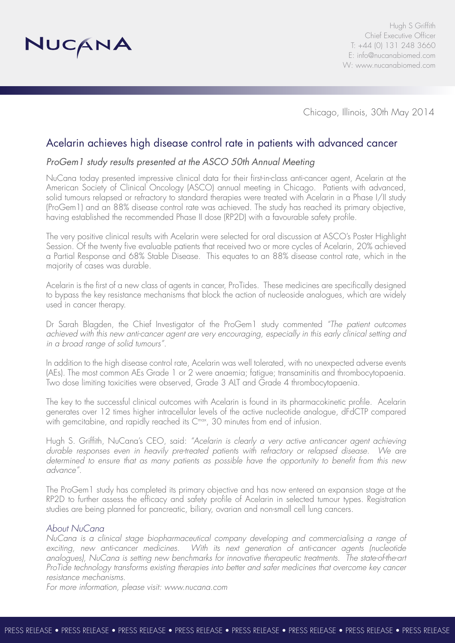

Chicago, Illinois, 30th May 2014

# Acelarin achieves high disease control rate in patients with advanced cancer

## *ProGem1 study results presented at the ASCO 50th Annual Meeting*

NuCana today presented impressive clinical data for their first-in-class anti-cancer agent, Acelarin at the American Society of Clinical Oncology (ASCO) annual meeting in Chicago. Patients with advanced, solid tumours relapsed or refractory to standard therapies were treated with Acelarin in a Phase I/II study (ProGem1) and an 88% disease control rate was achieved. The study has reached its primary objective, having established the recommended Phase II dose (RP2D) with a favourable safety profile.

The very positive clinical results with Acelarin were selected for oral discussion at ASCO's Poster Highlight Session. Of the twenty five evaluable patients that received two or more cycles of Acelarin, 20% achieved a Partial Response and 68% Stable Disease. This equates to an 88% disease control rate, which in the majority of cases was durable.

Acelarin is the first of a new class of agents in cancer, ProTides. These medicines are specifically designed to bypass the key resistance mechanisms that block the action of nucleoside analogues, which are widely used in cancer therapy.

Dr Sarah Blagden, the Chief Investigator of the ProGem1 study commented *"The patient outcomes achieved with this new anti-cancer agent are very encouraging, especially in this early clinical setting and in a broad range of solid tumours".*

In addition to the high disease control rate, Acelarin was well tolerated, with no unexpected adverse events (AEs). The most common AEs Grade 1 or 2 were anaemia; fatigue; transaminitis and thrombocytopaenia. Two dose limiting toxicities were observed, Grade 3 ALT and Grade 4 thrombocytopaenia.

The key to the successful clinical outcomes with Acelarin is found in its pharmacokinetic profile. Acelarin generates over 12 times higher intracellular levels of the active nucleotide analogue, dFdCTP compared with gemcitabine, and rapidly reached its C<sup>max</sup>, 30 minutes from end of infusion.

Hugh S. Griffith, NuCana's CEO, said: *"Acelarin is clearly a very active anti-cancer agent achieving durable responses even in heavily pre-treated patients with refractory or relapsed disease. We are determined to ensure that as many patients as possible have the opportunity to benefit from this new advance".*

The ProGem1 study has completed its primary objective and has now entered an expansion stage at the RP2D to further assess the efficacy and safety profile of Acelarin in selected tumour types. Registration studies are being planned for pancreatic, biliary, ovarian and non-small cell lung cancers.

### *About NuCana*

*NuCana is a clinical stage biopharmaceutical company developing and commercialising a range of exciting, new anti-cancer medicines. With its next generation of anti-cancer agents (nucleotide analogues), NuCana is setting new benchmarks for innovative therapeutic treatments. The state-of-the-art ProTide technology transforms existing therapies into better and safer medicines that overcome key cancer resistance mechanisms.*

*For more information, please visit: www.nucana.com*